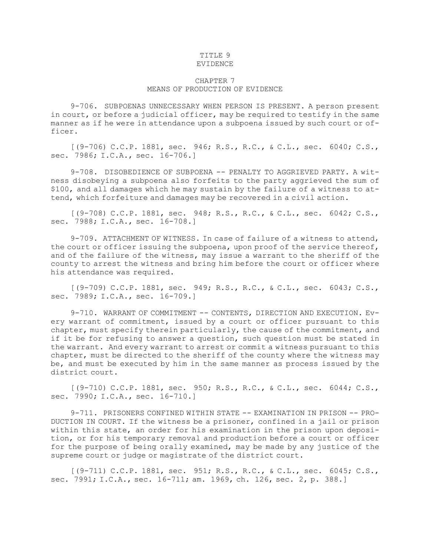## TITLE 9 EVIDENCE

## CHAPTER 7 MEANS OF PRODUCTION OF EVIDENCE

9-706. SUBPOENAS UNNECESSARY WHEN PERSON IS PRESENT. A person present in court, or before <sup>a</sup> judicial officer, may be required to testify in the same manner as if he were in attendance upon <sup>a</sup> subpoena issued by such court or of-

ficer.

[(9-706) C.C.P. 1881, sec. 946; R.S., R.C., & C.L., sec. 6040; C.S., sec. 7986; I.C.A., sec. 16-706.]

9-708. DISOBEDIENCE OF SUBPOENA -- PENALTY TO AGGRIEVED PARTY. A witness disobeying <sup>a</sup> subpoena also forfeits to the party aggrieved the sum of \$100, and all damages which he may sustain by the failure of <sup>a</sup> witness to attend, which forfeiture and damages may be recovered in <sup>a</sup> civil action.

[(9-708) C.C.P. 1881, sec. 948; R.S., R.C., & C.L., sec. 6042; C.S., sec. 7988; I.C.A., sec. 16-708.]

9-709. ATTACHMENT OF WITNESS. In case of failure of <sup>a</sup> witness to attend, the court or officer issuing the subpoena, upon proof of the service thereof, and of the failure of the witness, may issue <sup>a</sup> warrant to the sheriff of the county to arrest the witness and bring him before the court or officer where his attendance was required.

[(9-709) C.C.P. 1881, sec. 949; R.S., R.C., & C.L., sec. 6043; C.S., sec. 7989; I.C.A., sec. 16-709.]

9-710. WARRANT OF COMMITMENT -- CONTENTS, DIRECTION AND EXECUTION. Every warrant of commitment, issued by <sup>a</sup> court or officer pursuant to this chapter, must specify therein particularly, the cause of the commitment, and if it be for refusing to answer <sup>a</sup> question, such question must be stated in the warrant. And every warrant to arrest or commit <sup>a</sup> witness pursuant to this chapter, must be directed to the sheriff of the county where the witness may be, and must be executed by him in the same manner as process issued by the district court.

[(9-710) C.C.P. 1881, sec. 950; R.S., R.C., & C.L., sec. 6044; C.S., sec. 7990; I.C.A., sec. 16-710.]

9-711. PRISONERS CONFINED WITHIN STATE -- EXAMINATION IN PRISON -- PRO-DUCTION IN COURT. If the witness be <sup>a</sup> prisoner, confined in <sup>a</sup> jail or prison within this state, an order for his examination in the prison upon deposition, or for his temporary removal and production before <sup>a</sup> court or officer for the purpose of being orally examined, may be made by any justice of the supreme court or judge or magistrate of the district court.

[(9-711) C.C.P. 1881, sec. 951; R.S., R.C., & C.L., sec. 6045; C.S., sec. 7991; I.C.A., sec. 16-711; am. 1969, ch. 126, sec. 2, p. 388.]